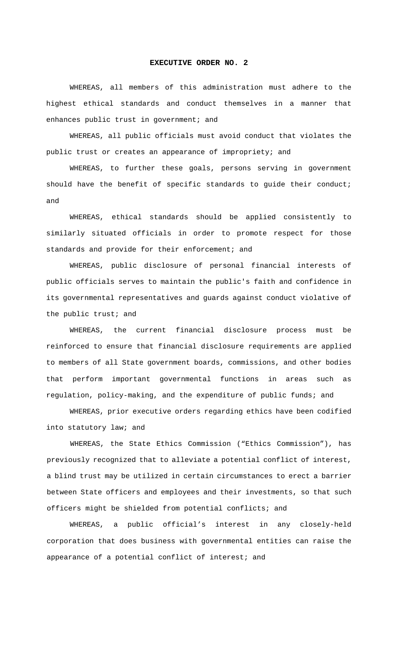#### **EXECUTIVE ORDER NO. 2**

WHEREAS, all members of this administration must adhere to the highest ethical standards and conduct themselves in a manner that enhances public trust in government; and

WHEREAS, all public officials must avoid conduct that violates the public trust or creates an appearance of impropriety; and

WHEREAS, to further these goals, persons serving in government should have the benefit of specific standards to guide their conduct; and

WHEREAS, ethical standards should be applied consistently to similarly situated officials in order to promote respect for those standards and provide for their enforcement; and

WHEREAS, public disclosure of personal financial interests of public officials serves to maintain the public's faith and confidence in its governmental representatives and guards against conduct violative of the public trust; and

WHEREAS, the current financial disclosure process must be reinforced to ensure that financial disclosure requirements are applied to members of all State government boards, commissions, and other bodies that perform important governmental functions in areas such as regulation, policy-making, and the expenditure of public funds; and

WHEREAS, prior executive orders regarding ethics have been codified into statutory law; and

 WHEREAS, the State Ethics Commission ("Ethics Commission"), has previously recognized that to alleviate a potential conflict of interest, a blind trust may be utilized in certain circumstances to erect a barrier between State officers and employees and their investments, so that such officers might be shielded from potential conflicts; and

WHEREAS, a public official's interest in any closely-held corporation that does business with governmental entities can raise the appearance of a potential conflict of interest; and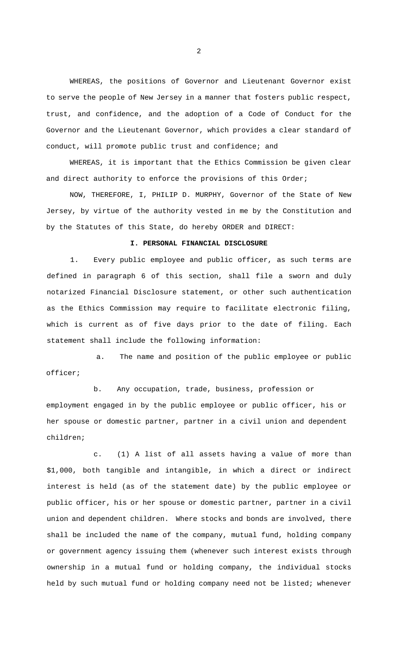WHEREAS, the positions of Governor and Lieutenant Governor exist to serve the people of New Jersey in a manner that fosters public respect, trust, and confidence, and the adoption of a Code of Conduct for the Governor and the Lieutenant Governor, which provides a clear standard of conduct, will promote public trust and confidence; and

WHEREAS, it is important that the Ethics Commission be given clear and direct authority to enforce the provisions of this Order;

NOW, THEREFORE, I, PHILIP D. MURPHY, Governor of the State of New Jersey, by virtue of the authority vested in me by the Constitution and by the Statutes of this State, do hereby ORDER and DIRECT:

## **I. PERSONAL FINANCIAL DISCLOSURE**

1. Every public employee and public officer, as such terms are defined in paragraph 6 of this section, shall file a sworn and duly notarized Financial Disclosure statement, or other such authentication as the Ethics Commission may require to facilitate electronic filing, which is current as of five days prior to the date of filing. Each statement shall include the following information:

a. The name and position of the public employee or public officer;

b. Any occupation, trade, business, profession or employment engaged in by the public employee or public officer, his or her spouse or domestic partner, partner in a civil union and dependent children;

c. (1) A list of all assets having a value of more than \$1,000, both tangible and intangible, in which a direct or indirect interest is held (as of the statement date) by the public employee or public officer, his or her spouse or domestic partner, partner in a civil union and dependent children. Where stocks and bonds are involved, there shall be included the name of the company, mutual fund, holding company or government agency issuing them (whenever such interest exists through ownership in a mutual fund or holding company, the individual stocks held by such mutual fund or holding company need not be listed; whenever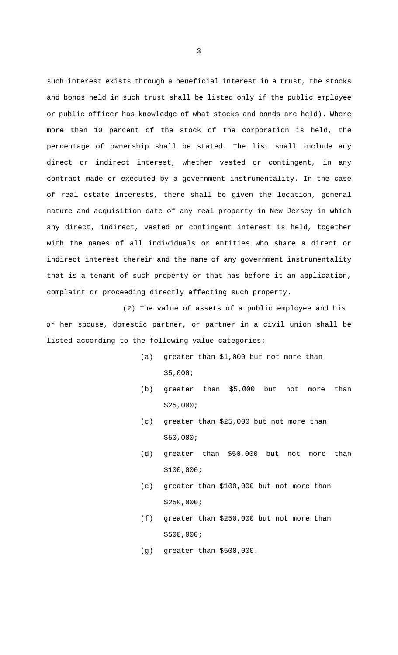such interest exists through a beneficial interest in a trust, the stocks and bonds held in such trust shall be listed only if the public employee or public officer has knowledge of what stocks and bonds are held). Where more than 10 percent of the stock of the corporation is held, the percentage of ownership shall be stated. The list shall include any direct or indirect interest, whether vested or contingent, in any contract made or executed by a government instrumentality. In the case of real estate interests, there shall be given the location, general nature and acquisition date of any real property in New Jersey in which any direct, indirect, vested or contingent interest is held, together with the names of all individuals or entities who share a direct or indirect interest therein and the name of any government instrumentality that is a tenant of such property or that has before it an application, complaint or proceeding directly affecting such property.

(2) The value of assets of a public employee and his or her spouse, domestic partner, or partner in a civil union shall be listed according to the following value categories:

- (a) greater than \$1,000 but not more than \$5,000;
- (b) greater than \$5,000 but not more than \$25,000;
- (c) greater than \$25,000 but not more than \$50,000;
- (d) greater than \$50,000 but not more than \$100,000;
- (e) greater than \$100,000 but not more than \$250,000;
- (f) greater than \$250,000 but not more than \$500,000;
- (g) greater than \$500,000.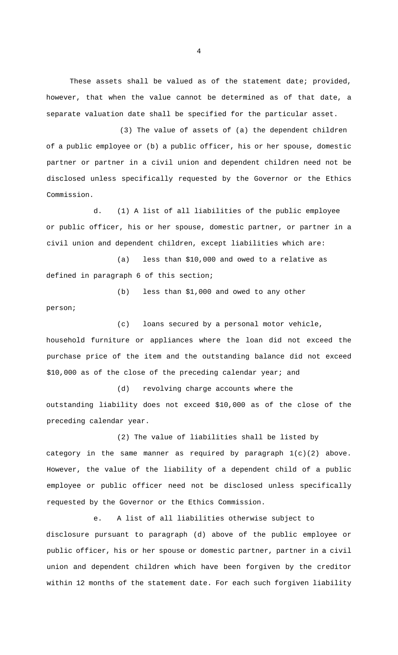These assets shall be valued as of the statement date; provided, however, that when the value cannot be determined as of that date, a separate valuation date shall be specified for the particular asset.

 (3) The value of assets of (a) the dependent children of a public employee or (b) a public officer, his or her spouse, domestic partner or partner in a civil union and dependent children need not be disclosed unless specifically requested by the Governor or the Ethics Commission.

d. (1) A list of all liabilities of the public employee or public officer, his or her spouse, domestic partner, or partner in a civil union and dependent children, except liabilities which are:

(a) less than \$10,000 and owed to a relative as defined in paragraph 6 of this section;

(b) less than \$1,000 and owed to any other

person;

(c) loans secured by a personal motor vehicle,

household furniture or appliances where the loan did not exceed the purchase price of the item and the outstanding balance did not exceed \$10,000 as of the close of the preceding calendar year; and

(d) revolving charge accounts where the outstanding liability does not exceed \$10,000 as of the close of the preceding calendar year.

(2) The value of liabilities shall be listed by category in the same manner as required by paragraph 1(c)(2) above. However, the value of the liability of a dependent child of a public employee or public officer need not be disclosed unless specifically requested by the Governor or the Ethics Commission.

e. A list of all liabilities otherwise subject to disclosure pursuant to paragraph (d) above of the public employee or public officer, his or her spouse or domestic partner, partner in a civil union and dependent children which have been forgiven by the creditor within 12 months of the statement date. For each such forgiven liability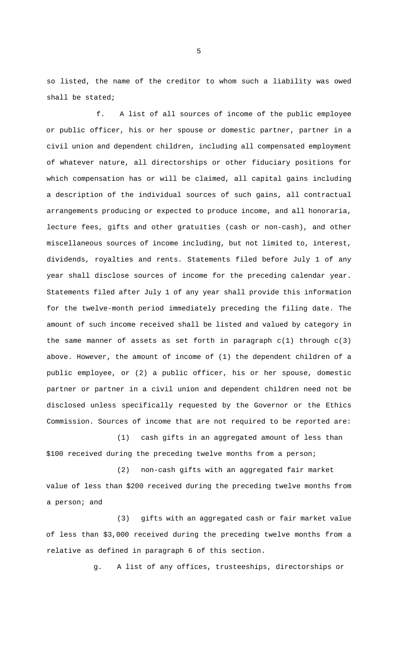so listed, the name of the creditor to whom such a liability was owed shall be stated;

f. A list of all sources of income of the public employee or public officer, his or her spouse or domestic partner, partner in a civil union and dependent children, including all compensated employment of whatever nature, all directorships or other fiduciary positions for which compensation has or will be claimed, all capital gains including a description of the individual sources of such gains, all contractual arrangements producing or expected to produce income, and all honoraria, lecture fees, gifts and other gratuities (cash or non-cash), and other miscellaneous sources of income including, but not limited to, interest, dividends, royalties and rents. Statements filed before July 1 of any year shall disclose sources of income for the preceding calendar year. Statements filed after July 1 of any year shall provide this information for the twelve-month period immediately preceding the filing date. The amount of such income received shall be listed and valued by category in the same manner of assets as set forth in paragraph  $c(1)$  through  $c(3)$ above. However, the amount of income of (1) the dependent children of a public employee, or (2) a public officer, his or her spouse, domestic partner or partner in a civil union and dependent children need not be disclosed unless specifically requested by the Governor or the Ethics Commission. Sources of income that are not required to be reported are:

(1) cash gifts in an aggregated amount of less than \$100 received during the preceding twelve months from a person;

(2) non-cash gifts with an aggregated fair market value of less than \$200 received during the preceding twelve months from a person; and

(3) gifts with an aggregated cash or fair market value of less than \$3,000 received during the preceding twelve months from a relative as defined in paragraph 6 of this section.

g. A list of any offices, trusteeships, directorships or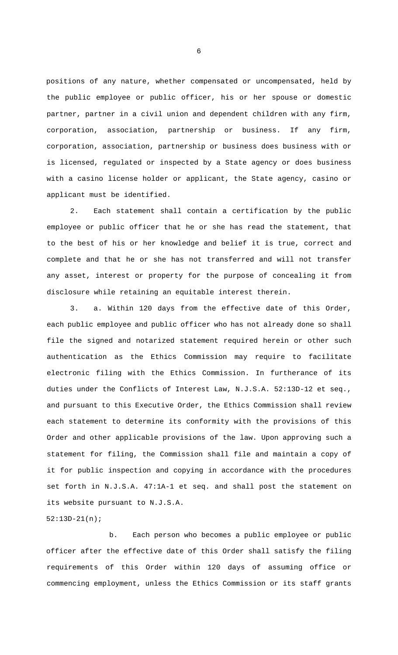positions of any nature, whether compensated or uncompensated, held by the public employee or public officer, his or her spouse or domestic partner, partner in a civil union and dependent children with any firm, corporation, association, partnership or business. If any firm, corporation, association, partnership or business does business with or is licensed, regulated or inspected by a State agency or does business with a casino license holder or applicant, the State agency, casino or applicant must be identified.

2. Each statement shall contain a certification by the public employee or public officer that he or she has read the statement, that to the best of his or her knowledge and belief it is true, correct and complete and that he or she has not transferred and will not transfer any asset, interest or property for the purpose of concealing it from disclosure while retaining an equitable interest therein.

3. a. Within 120 days from the effective date of this Order, each public employee and public officer who has not already done so shall file the signed and notarized statement required herein or other such authentication as the Ethics Commission may require to facilitate electronic filing with the Ethics Commission. In furtherance of its duties under the Conflicts of Interest Law, N.J.S.A. 52:13D-12 et seq., and pursuant to this Executive Order, the Ethics Commission shall review each statement to determine its conformity with the provisions of this Order and other applicable provisions of the law. Upon approving such a statement for filing, the Commission shall file and maintain a copy of it for public inspection and copying in accordance with the procedures set forth in N.J.S.A. 47:1A-1 et seq. and shall post the statement on its website pursuant to N.J.S.A.

b. Each person who becomes a public employee or public officer after the effective date of this Order shall satisfy the filing requirements of this Order within 120 days of assuming office or commencing employment, unless the Ethics Commission or its staff grants

52:13D-21(n);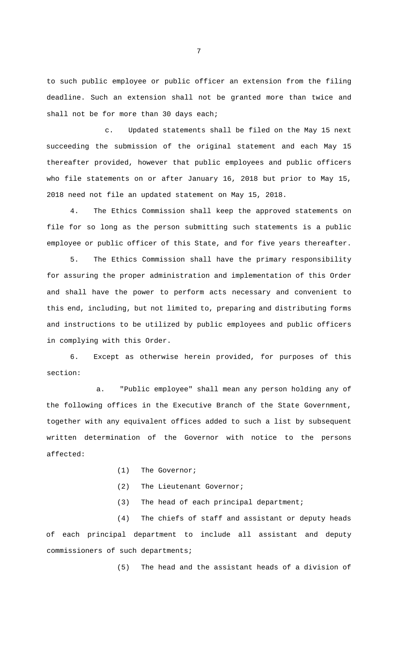to such public employee or public officer an extension from the filing deadline. Such an extension shall not be granted more than twice and shall not be for more than 30 days each;

c. Updated statements shall be filed on the May 15 next succeeding the submission of the original statement and each May 15 thereafter provided, however that public employees and public officers who file statements on or after January 16, 2018 but prior to May 15, 2018 need not file an updated statement on May 15, 2018.

4. The Ethics Commission shall keep the approved statements on file for so long as the person submitting such statements is a public employee or public officer of this State, and for five years thereafter.

5. The Ethics Commission shall have the primary responsibility for assuring the proper administration and implementation of this Order and shall have the power to perform acts necessary and convenient to this end, including, but not limited to, preparing and distributing forms and instructions to be utilized by public employees and public officers in complying with this Order.

6. Except as otherwise herein provided, for purposes of this section:

a. "Public employee" shall mean any person holding any of the following offices in the Executive Branch of the State Government, together with any equivalent offices added to such a list by subsequent written determination of the Governor with notice to the persons affected:

- (1) The Governor;
- (2) The Lieutenant Governor;
- (3) The head of each principal department;

(4) The chiefs of staff and assistant or deputy heads of each principal department to include all assistant and deputy commissioners of such departments;

(5) The head and the assistant heads of a division of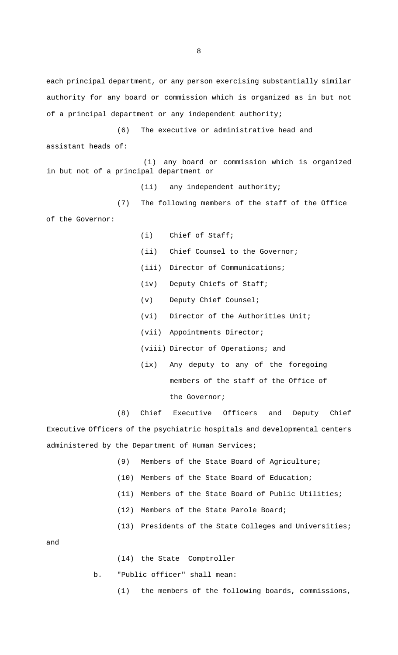each principal department, or any person exercising substantially similar authority for any board or commission which is organized as in but not of a principal department or any independent authority;

(6) The executive or administrative head and assistant heads of:

(i) any board or commission which is organized in but not of a principal department or

(ii) any independent authority;

(7) The following members of the staff of the Office of the Governor:

(i) Chief of Staff;

- (ii) Chief Counsel to the Governor;
- (iii) Director of Communications;
- (iv) Deputy Chiefs of Staff;
- (v) Deputy Chief Counsel;
- (vi) Director of the Authorities Unit;
- (vii) Appointments Director;
- (viii) Director of Operations; and
- (ix) Any deputy to any of the foregoing members of the staff of the Office of the Governor;

(8) Chief Executive Officers and Deputy Chief Executive Officers of the psychiatric hospitals and developmental centers administered by the Department of Human Services;

- (9) Members of the State Board of Agriculture;
- (10) Members of the State Board of Education;
- (11) Members of the State Board of Public Utilities;
- (12) Members of the State Parole Board;
- (13) Presidents of the State Colleges and Universities;

and

(14) the State Comptroller

b. "Public officer" shall mean:

(1) the members of the following boards, commissions,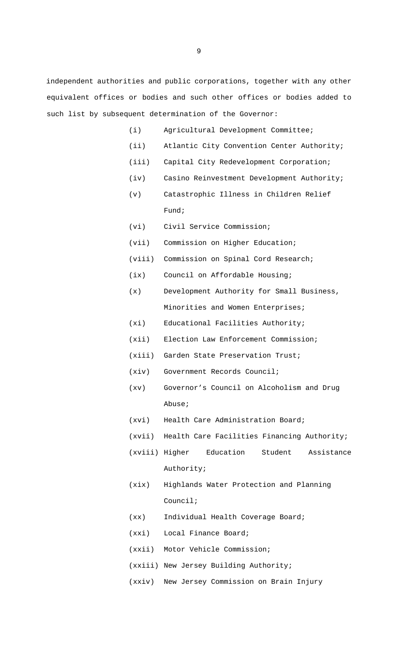independent authorities and public corporations, together with any other equivalent offices or bodies and such other offices or bodies added to such list by subsequent determination of the Governor:

- (i) Agricultural Development Committee;
- (ii) Atlantic City Convention Center Authority;
- (iii) Capital City Redevelopment Corporation;
- (iv) Casino Reinvestment Development Authority;
- (v) Catastrophic Illness in Children Relief Fund;
- (vi) Civil Service Commission;
- (vii) Commission on Higher Education;
- (viii) Commission on Spinal Cord Research;
- (ix) Council on Affordable Housing;
- (x) Development Authority for Small Business, Minorities and Women Enterprises;
- (xi) Educational Facilities Authority;
- (xii) Election Law Enforcement Commission;
- (xiii) Garden State Preservation Trust;
- (xiv) Government Records Council;
- (xv) Governor's Council on Alcoholism and Drug Abuse;
- (xvi) Health Care Administration Board;
- (xvii) Health Care Facilities Financing Authority;
- (xviii) Higher Education Student Assistance Authority;
- (xix) Highlands Water Protection and Planning Council;
- (xx) Individual Health Coverage Board;
- (xxi) Local Finance Board;
- (xxii) Motor Vehicle Commission;
- (xxiii) New Jersey Building Authority;
- (xxiv) New Jersey Commission on Brain Injury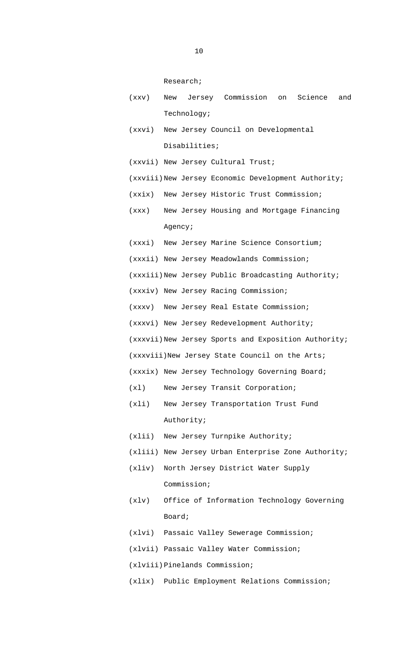Research;

- (xxv) New Jersey Commission on Science and Technology;
- (xxvi) New Jersey Council on Developmental Disabilities;
- (xxvii) New Jersey Cultural Trust;
- (xxviii)New Jersey Economic Development Authority;
- (xxix) New Jersey Historic Trust Commission;
- (xxx) New Jersey Housing and Mortgage Financing Agency;
- (xxxi) New Jersey Marine Science Consortium;
- (xxxii) New Jersey Meadowlands Commission;
- (xxxiii)New Jersey Public Broadcasting Authority;
- (xxxiv) New Jersey Racing Commission;
- (xxxv) New Jersey Real Estate Commission;
- (xxxvi) New Jersey Redevelopment Authority;
- (xxxvii)New Jersey Sports and Exposition Authority;
- (xxxviii)New Jersey State Council on the Arts;
- (xxxix) New Jersey Technology Governing Board;
- (xl) New Jersey Transit Corporation;
- (xli) New Jersey Transportation Trust Fund Authority;
- (xlii) New Jersey Turnpike Authority;
- (xliii) New Jersey Urban Enterprise Zone Authority;
- (xliv) North Jersey District Water Supply Commission;
- (xlv) Office of Information Technology Governing Board;
- (xlvi) Passaic Valley Sewerage Commission;
- (xlvii) Passaic Valley Water Commission;
- (xlviii) Pinelands Commission;
- (xlix) Public Employment Relations Commission;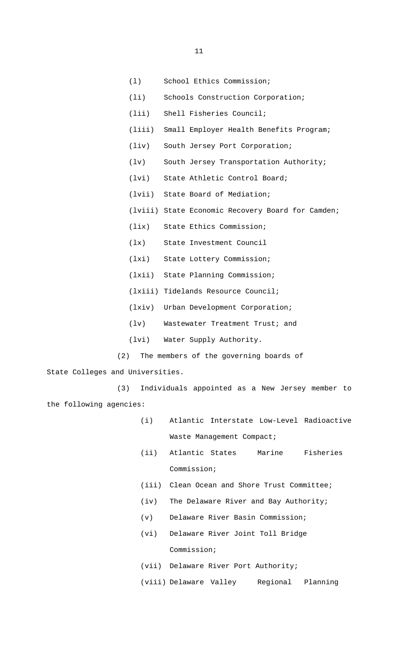- (l) School Ethics Commission;
- (li) Schools Construction Corporation;
- (lii) Shell Fisheries Council;
- (liii) Small Employer Health Benefits Program;
- (liv) South Jersey Port Corporation;
- (lv) South Jersey Transportation Authority;
- (lvi) State Athletic Control Board;
- (lvii) State Board of Mediation;
- (lviii) State Economic Recovery Board for Camden;
- (lix) State Ethics Commission;
- (lx) State Investment Council
- (lxi) State Lottery Commission;
- (lxii) State Planning Commission;
- (lxiii) Tidelands Resource Council;
- (lxiv) Urban Development Corporation;
- (lv) Wastewater Treatment Trust; and
- (lvi) Water Supply Authority.
- (2) The members of the governing boards of

State Colleges and Universities.

(3) Individuals appointed as a New Jersey member to the following agencies:

- (i) Atlantic Interstate Low-Level Radioactive Waste Management Compact;
- (ii) Atlantic States Marine Fisheries Commission;
- (iii) Clean Ocean and Shore Trust Committee;
- (iv) The Delaware River and Bay Authority;
- (v) Delaware River Basin Commission;
- (vi) Delaware River Joint Toll Bridge Commission;
- (vii) Delaware River Port Authority;
- (viii) Delaware Valley Regional Planning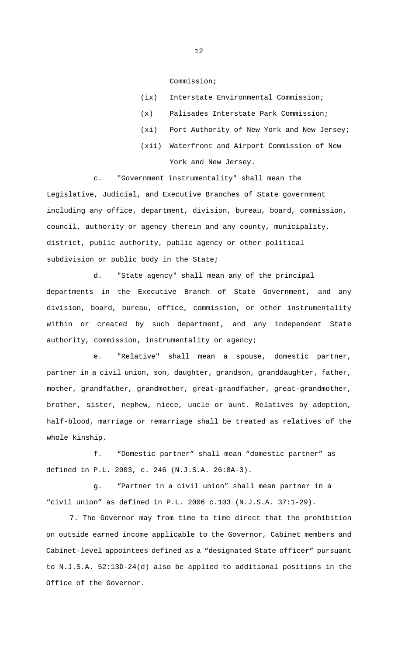Commission;

| (ix) Interstate Environmental Commission;       |
|-------------------------------------------------|
| (x) Palisades Interstate Park Commission;       |
| (xi) Port Authority of New York and New Jersey; |
| (xii) Waterfront and Airport Commission of New  |
| York and New Jersey.                            |

c. "Government instrumentality" shall mean the Legislative, Judicial, and Executive Branches of State government including any office, department, division, bureau, board, commission, council, authority or agency therein and any county, municipality, district, public authority, public agency or other political subdivision or public body in the State;

d. "State agency" shall mean any of the principal departments in the Executive Branch of State Government, and any division, board, bureau, office, commission, or other instrumentality within or created by such department, and any independent State authority, commission, instrumentality or agency;

e. "Relative" shall mean a spouse, domestic partner, partner in a civil union, son, daughter, grandson, granddaughter, father, mother, grandfather, grandmother, great-grandfather, great-grandmother, brother, sister, nephew, niece, uncle or aunt. Relatives by adoption, half-blood, marriage or remarriage shall be treated as relatives of the whole kinship.

f. "Domestic partner" shall mean "domestic partner" as defined in P.L. 2003, c. 246 (N.J.S.A. 26:8A-3).

g. "Partner in a civil union" shall mean partner in a "civil union" as defined in P.L. 2006 c.103 (N.J.S.A. 37:1-29).

7. The Governor may from time to time direct that the prohibition on outside earned income applicable to the Governor, Cabinet members and Cabinet-level appointees defined as a "designated State officer" pursuant to N.J.S.A. 52:13D-24(d) also be applied to additional positions in the Office of the Governor.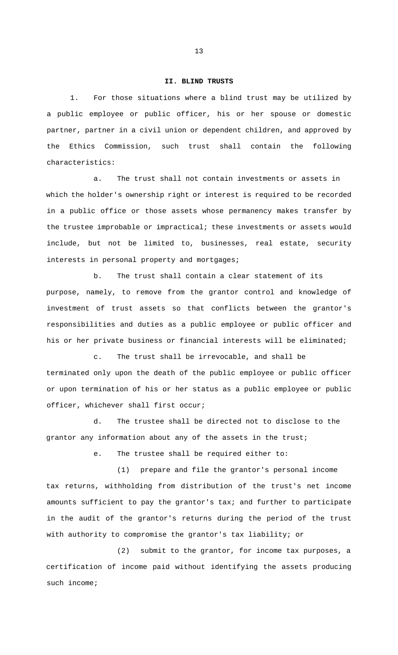### **II. BLIND TRUSTS**

1. For those situations where a blind trust may be utilized by a public employee or public officer, his or her spouse or domestic partner, partner in a civil union or dependent children, and approved by the Ethics Commission, such trust shall contain the following characteristics:

a. The trust shall not contain investments or assets in which the holder's ownership right or interest is required to be recorded in a public office or those assets whose permanency makes transfer by the trustee improbable or impractical; these investments or assets would include, but not be limited to, businesses, real estate, security interests in personal property and mortgages;

b. The trust shall contain a clear statement of its purpose, namely, to remove from the grantor control and knowledge of investment of trust assets so that conflicts between the grantor's responsibilities and duties as a public employee or public officer and his or her private business or financial interests will be eliminated;

c. The trust shall be irrevocable, and shall be terminated only upon the death of the public employee or public officer or upon termination of his or her status as a public employee or public officer, whichever shall first occur;

d. The trustee shall be directed not to disclose to the grantor any information about any of the assets in the trust;

e. The trustee shall be required either to:

(1) prepare and file the grantor's personal income tax returns, withholding from distribution of the trust's net income amounts sufficient to pay the grantor's tax; and further to participate in the audit of the grantor's returns during the period of the trust with authority to compromise the grantor's tax liability; or

(2) submit to the grantor, for income tax purposes, a certification of income paid without identifying the assets producing such income;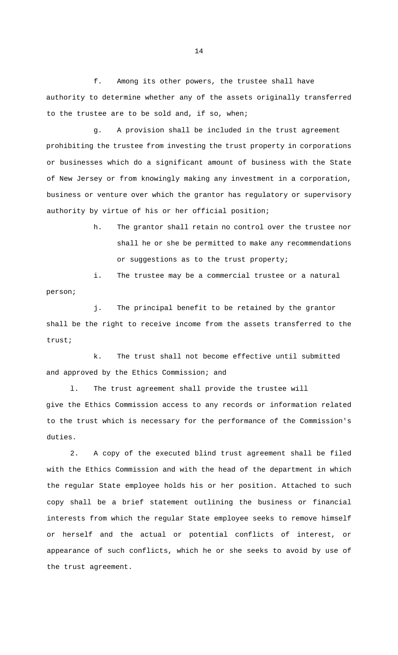f. Among its other powers, the trustee shall have authority to determine whether any of the assets originally transferred to the trustee are to be sold and, if so, when;

g. A provision shall be included in the trust agreement prohibiting the trustee from investing the trust property in corporations or businesses which do a significant amount of business with the State of New Jersey or from knowingly making any investment in a corporation, business or venture over which the grantor has regulatory or supervisory authority by virtue of his or her official position;

> h. The grantor shall retain no control over the trustee nor shall he or she be permitted to make any recommendations or suggestions as to the trust property;

i. The trustee may be a commercial trustee or a natural person;

j. The principal benefit to be retained by the grantor shall be the right to receive income from the assets transferred to the trust;

k. The trust shall not become effective until submitted and approved by the Ethics Commission; and

l. The trust agreement shall provide the trustee will give the Ethics Commission access to any records or information related to the trust which is necessary for the performance of the Commission's duties.

2. A copy of the executed blind trust agreement shall be filed with the Ethics Commission and with the head of the department in which the regular State employee holds his or her position. Attached to such copy shall be a brief statement outlining the business or financial interests from which the regular State employee seeks to remove himself or herself and the actual or potential conflicts of interest, or appearance of such conflicts, which he or she seeks to avoid by use of the trust agreement.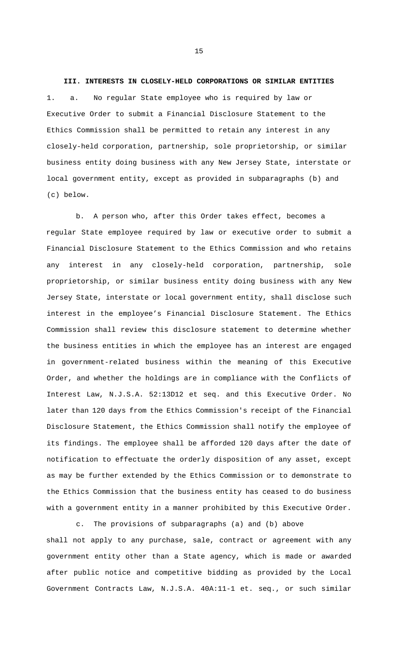**III. INTERESTS IN CLOSELY-HELD CORPORATIONS OR SIMILAR ENTITIES**  1. a. No regular State employee who is required by law or Executive Order to submit a Financial Disclosure Statement to the Ethics Commission shall be permitted to retain any interest in any closely-held corporation, partnership, sole proprietorship, or similar business entity doing business with any New Jersey State, interstate or local government entity, except as provided in subparagraphs (b) and (c) below.

b. A person who, after this Order takes effect, becomes a regular State employee required by law or executive order to submit a Financial Disclosure Statement to the Ethics Commission and who retains any interest in any closely-held corporation, partnership, sole proprietorship, or similar business entity doing business with any New Jersey State, interstate or local government entity, shall disclose such interest in the employee's Financial Disclosure Statement. The Ethics Commission shall review this disclosure statement to determine whether the business entities in which the employee has an interest are engaged in government-related business within the meaning of this Executive Order, and whether the holdings are in compliance with the Conflicts of Interest Law, N.J.S.A. 52:13D12 et seq. and this Executive Order. No later than 120 days from the Ethics Commission's receipt of the Financial Disclosure Statement, the Ethics Commission shall notify the employee of its findings. The employee shall be afforded 120 days after the date of notification to effectuate the orderly disposition of any asset, except as may be further extended by the Ethics Commission or to demonstrate to the Ethics Commission that the business entity has ceased to do business with a government entity in a manner prohibited by this Executive Order.

c. The provisions of subparagraphs (a) and (b) above shall not apply to any purchase, sale, contract or agreement with any government entity other than a State agency, which is made or awarded after public notice and competitive bidding as provided by the Local Government Contracts Law, N.J.S.A. 40A:11-1 et. seq., or such similar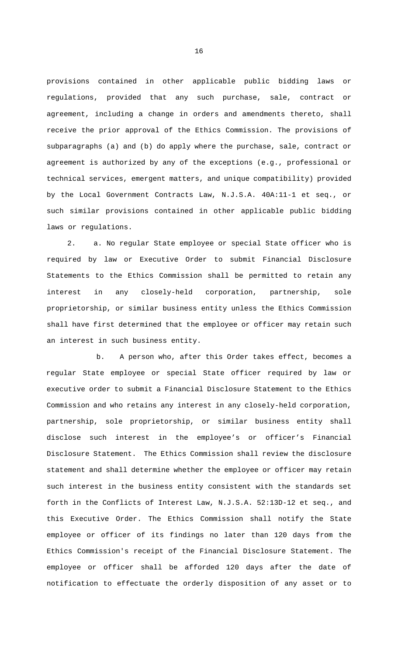provisions contained in other applicable public bidding laws or regulations, provided that any such purchase, sale, contract or agreement, including a change in orders and amendments thereto, shall receive the prior approval of the Ethics Commission. The provisions of subparagraphs (a) and (b) do apply where the purchase, sale, contract or agreement is authorized by any of the exceptions (e.g., professional or technical services, emergent matters, and unique compatibility) provided by the Local Government Contracts Law, N.J.S.A. 40A:11-1 et seq., or such similar provisions contained in other applicable public bidding laws or regulations.

2. a. No regular State employee or special State officer who is required by law or Executive Order to submit Financial Disclosure Statements to the Ethics Commission shall be permitted to retain any interest in any closely-held corporation, partnership, sole proprietorship, or similar business entity unless the Ethics Commission shall have first determined that the employee or officer may retain such an interest in such business entity.

b. A person who, after this Order takes effect, becomes a regular State employee or special State officer required by law or executive order to submit a Financial Disclosure Statement to the Ethics Commission and who retains any interest in any closely-held corporation, partnership, sole proprietorship, or similar business entity shall disclose such interest in the employee's or officer's Financial Disclosure Statement. The Ethics Commission shall review the disclosure statement and shall determine whether the employee or officer may retain such interest in the business entity consistent with the standards set forth in the Conflicts of Interest Law, N.J.S.A. 52:13D-12 et seq., and this Executive Order. The Ethics Commission shall notify the State employee or officer of its findings no later than 120 days from the Ethics Commission's receipt of the Financial Disclosure Statement. The employee or officer shall be afforded 120 days after the date of notification to effectuate the orderly disposition of any asset or to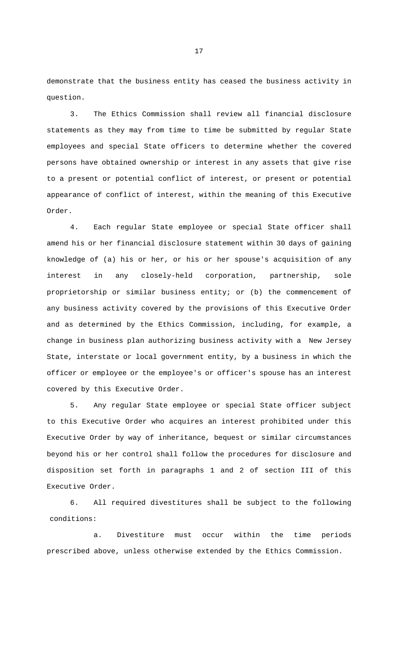demonstrate that the business entity has ceased the business activity in question.

3. The Ethics Commission shall review all financial disclosure statements as they may from time to time be submitted by regular State employees and special State officers to determine whether the covered persons have obtained ownership or interest in any assets that give rise to a present or potential conflict of interest, or present or potential appearance of conflict of interest, within the meaning of this Executive Order.

4. Each regular State employee or special State officer shall amend his or her financial disclosure statement within 30 days of gaining knowledge of (a) his or her, or his or her spouse's acquisition of any interest in any closely-held corporation, partnership, sole proprietorship or similar business entity; or (b) the commencement of any business activity covered by the provisions of this Executive Order and as determined by the Ethics Commission, including, for example, a change in business plan authorizing business activity with a New Jersey State, interstate or local government entity, by a business in which the officer or employee or the employee's or officer's spouse has an interest covered by this Executive Order.

5. Any regular State employee or special State officer subject to this Executive Order who acquires an interest prohibited under this Executive Order by way of inheritance, bequest or similar circumstances beyond his or her control shall follow the procedures for disclosure and disposition set forth in paragraphs 1 and 2 of section III of this Executive Order.

6. All required divestitures shall be subject to the following conditions:

a. Divestiture must occur within the time periods prescribed above, unless otherwise extended by the Ethics Commission.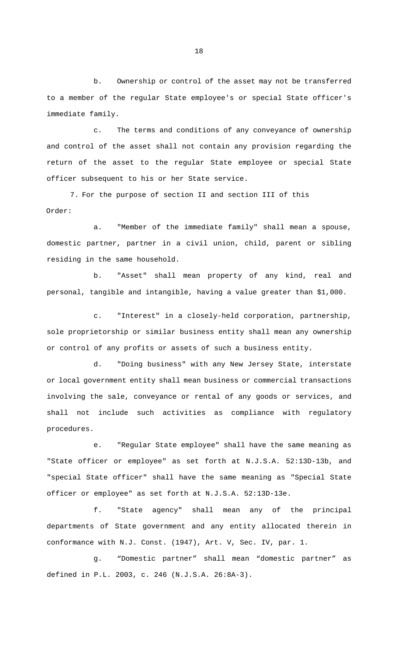b. Ownership or control of the asset may not be transferred to a member of the regular State employee's or special State officer's immediate family.

c. The terms and conditions of any conveyance of ownership and control of the asset shall not contain any provision regarding the return of the asset to the regular State employee or special State officer subsequent to his or her State service.

7. For the purpose of section II and section III of this Order:

a. "Member of the immediate family" shall mean a spouse, domestic partner, partner in a civil union, child, parent or sibling residing in the same household.

b. "Asset" shall mean property of any kind, real and personal, tangible and intangible, having a value greater than \$1,000.

c. "Interest" in a closely-held corporation, partnership, sole proprietorship or similar business entity shall mean any ownership or control of any profits or assets of such a business entity.

d. "Doing business" with any New Jersey State, interstate or local government entity shall mean business or commercial transactions involving the sale, conveyance or rental of any goods or services, and shall not include such activities as compliance with regulatory procedures.

e. "Regular State employee" shall have the same meaning as "State officer or employee" as set forth at N.J.S.A. 52:13D-13b, and "special State officer" shall have the same meaning as "Special State officer or employee" as set forth at N.J.S.A. 52:13D-13e.

f. "State agency" shall mean any of the principal departments of State government and any entity allocated therein in conformance with N.J. Const. (1947), Art. V, Sec. IV, par. 1.

g. "Domestic partner" shall mean "domestic partner" as defined in P.L. 2003, c. 246 (N.J.S.A. 26:8A-3).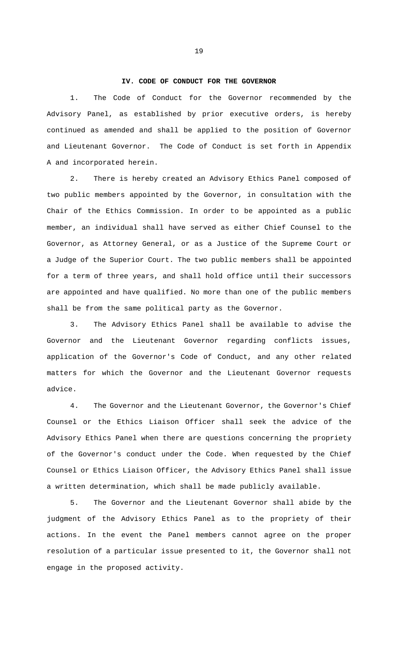### **IV. CODE OF CONDUCT FOR THE GOVERNOR**

1. The Code of Conduct for the Governor recommended by the Advisory Panel, as established by prior executive orders, is hereby continued as amended and shall be applied to the position of Governor and Lieutenant Governor. The Code of Conduct is set forth in Appendix A and incorporated herein.

2. There is hereby created an Advisory Ethics Panel composed of two public members appointed by the Governor, in consultation with the Chair of the Ethics Commission. In order to be appointed as a public member, an individual shall have served as either Chief Counsel to the Governor, as Attorney General, or as a Justice of the Supreme Court or a Judge of the Superior Court. The two public members shall be appointed for a term of three years, and shall hold office until their successors are appointed and have qualified. No more than one of the public members shall be from the same political party as the Governor.

3. The Advisory Ethics Panel shall be available to advise the Governor and the Lieutenant Governor regarding conflicts issues, application of the Governor's Code of Conduct, and any other related matters for which the Governor and the Lieutenant Governor requests advice.

4. The Governor and the Lieutenant Governor, the Governor's Chief Counsel or the Ethics Liaison Officer shall seek the advice of the Advisory Ethics Panel when there are questions concerning the propriety of the Governor's conduct under the Code. When requested by the Chief Counsel or Ethics Liaison Officer, the Advisory Ethics Panel shall issue a written determination, which shall be made publicly available.

5. The Governor and the Lieutenant Governor shall abide by the judgment of the Advisory Ethics Panel as to the propriety of their actions. In the event the Panel members cannot agree on the proper resolution of a particular issue presented to it, the Governor shall not engage in the proposed activity.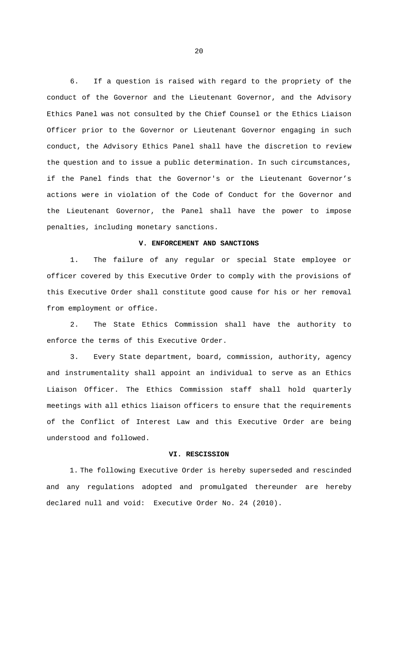6. If a question is raised with regard to the propriety of the conduct of the Governor and the Lieutenant Governor, and the Advisory Ethics Panel was not consulted by the Chief Counsel or the Ethics Liaison Officer prior to the Governor or Lieutenant Governor engaging in such conduct, the Advisory Ethics Panel shall have the discretion to review the question and to issue a public determination. In such circumstances, if the Panel finds that the Governor's or the Lieutenant Governor's actions were in violation of the Code of Conduct for the Governor and the Lieutenant Governor, the Panel shall have the power to impose penalties, including monetary sanctions.

## **V. ENFORCEMENT AND SANCTIONS**

1. The failure of any regular or special State employee or officer covered by this Executive Order to comply with the provisions of this Executive Order shall constitute good cause for his or her removal from employment or office.

2. The State Ethics Commission shall have the authority to enforce the terms of this Executive Order.

3. Every State department, board, commission, authority, agency and instrumentality shall appoint an individual to serve as an Ethics Liaison Officer. The Ethics Commission staff shall hold quarterly meetings with all ethics liaison officers to ensure that the requirements of the Conflict of Interest Law and this Executive Order are being understood and followed.

## **VI. RESCISSION**

1. The following Executive Order is hereby superseded and rescinded and any regulations adopted and promulgated thereunder are hereby declared null and void: Executive Order No. 24 (2010).